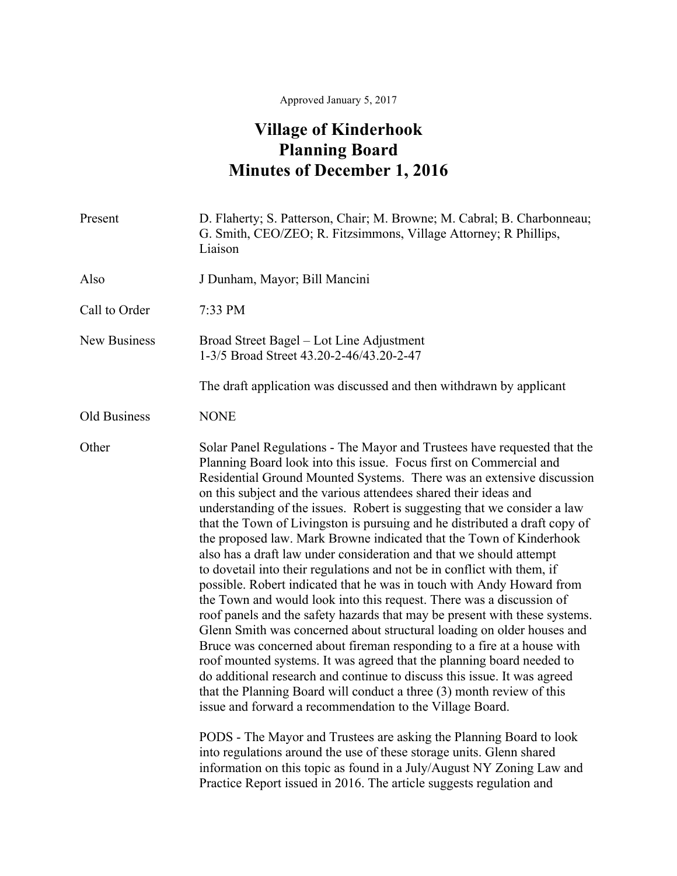## Approved January 5, 2017

## **Village of Kinderhook Planning Board Minutes of December 1, 2016**

| Present             | D. Flaherty; S. Patterson, Chair; M. Browne; M. Cabral; B. Charbonneau;<br>G. Smith, CEO/ZEO; R. Fitzsimmons, Village Attorney; R Phillips,<br>Liaison                                                                                                                                                                                                                                                                                                                                                                                                                                                                                                                                                                                                                                                                                                                                                                                                                                                                                                                                                                                                                                                                                                                                                                                                                                                                                                                                                                                                                                                                                                     |
|---------------------|------------------------------------------------------------------------------------------------------------------------------------------------------------------------------------------------------------------------------------------------------------------------------------------------------------------------------------------------------------------------------------------------------------------------------------------------------------------------------------------------------------------------------------------------------------------------------------------------------------------------------------------------------------------------------------------------------------------------------------------------------------------------------------------------------------------------------------------------------------------------------------------------------------------------------------------------------------------------------------------------------------------------------------------------------------------------------------------------------------------------------------------------------------------------------------------------------------------------------------------------------------------------------------------------------------------------------------------------------------------------------------------------------------------------------------------------------------------------------------------------------------------------------------------------------------------------------------------------------------------------------------------------------------|
| Also                | J Dunham, Mayor; Bill Mancini                                                                                                                                                                                                                                                                                                                                                                                                                                                                                                                                                                                                                                                                                                                                                                                                                                                                                                                                                                                                                                                                                                                                                                                                                                                                                                                                                                                                                                                                                                                                                                                                                              |
| Call to Order       | 7:33 PM                                                                                                                                                                                                                                                                                                                                                                                                                                                                                                                                                                                                                                                                                                                                                                                                                                                                                                                                                                                                                                                                                                                                                                                                                                                                                                                                                                                                                                                                                                                                                                                                                                                    |
| <b>New Business</b> | Broad Street Bagel - Lot Line Adjustment<br>1-3/5 Broad Street 43.20-2-46/43.20-2-47                                                                                                                                                                                                                                                                                                                                                                                                                                                                                                                                                                                                                                                                                                                                                                                                                                                                                                                                                                                                                                                                                                                                                                                                                                                                                                                                                                                                                                                                                                                                                                       |
|                     | The draft application was discussed and then withdrawn by applicant                                                                                                                                                                                                                                                                                                                                                                                                                                                                                                                                                                                                                                                                                                                                                                                                                                                                                                                                                                                                                                                                                                                                                                                                                                                                                                                                                                                                                                                                                                                                                                                        |
| Old Business        | <b>NONE</b>                                                                                                                                                                                                                                                                                                                                                                                                                                                                                                                                                                                                                                                                                                                                                                                                                                                                                                                                                                                                                                                                                                                                                                                                                                                                                                                                                                                                                                                                                                                                                                                                                                                |
| Other               | Solar Panel Regulations - The Mayor and Trustees have requested that the<br>Planning Board look into this issue. Focus first on Commercial and<br>Residential Ground Mounted Systems. There was an extensive discussion<br>on this subject and the various attendees shared their ideas and<br>understanding of the issues. Robert is suggesting that we consider a law<br>that the Town of Livingston is pursuing and he distributed a draft copy of<br>the proposed law. Mark Browne indicated that the Town of Kinderhook<br>also has a draft law under consideration and that we should attempt<br>to dovetail into their regulations and not be in conflict with them, if<br>possible. Robert indicated that he was in touch with Andy Howard from<br>the Town and would look into this request. There was a discussion of<br>roof panels and the safety hazards that may be present with these systems.<br>Glenn Smith was concerned about structural loading on older houses and<br>Bruce was concerned about fireman responding to a fire at a house with<br>roof mounted systems. It was agreed that the planning board needed to<br>do additional research and continue to discuss this issue. It was agreed<br>that the Planning Board will conduct a three (3) month review of this<br>issue and forward a recommendation to the Village Board.<br>PODS - The Mayor and Trustees are asking the Planning Board to look<br>into regulations around the use of these storage units. Glenn shared<br>information on this topic as found in a July/August NY Zoning Law and<br>Practice Report issued in 2016. The article suggests regulation and |